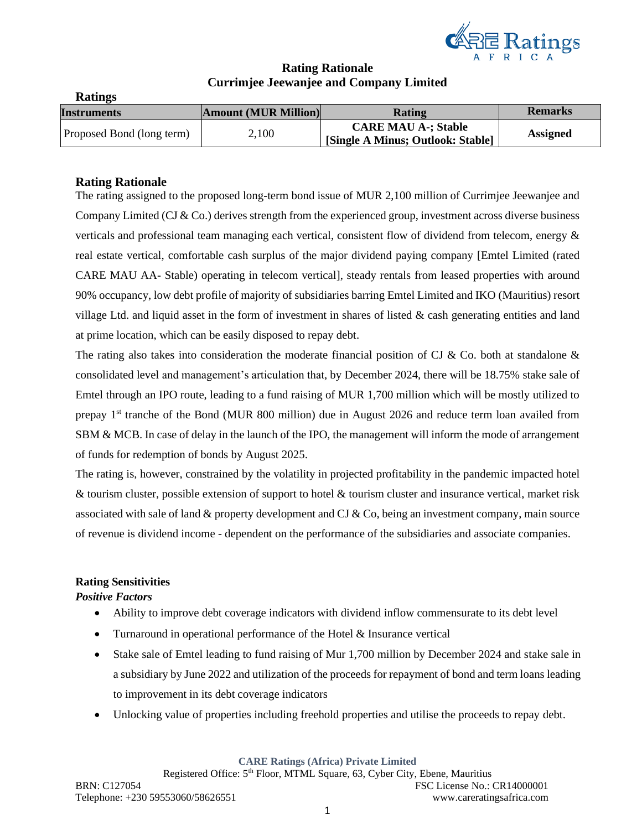

# **Rating Rationale Currimjee Jeewanjee and Company Limited**

| <b>Ratings</b>            |                             |                                   |                 |
|---------------------------|-----------------------------|-----------------------------------|-----------------|
| <b>Instruments</b>        | <b>Amount (MUR Million)</b> | Rating                            | <b>Remarks</b>  |
| Proposed Bond (long term) | 2,100                       | <b>CARE MAU A-; Stable</b>        |                 |
|                           |                             | [Single A Minus; Outlook: Stable] | <b>Assigned</b> |

# **Rating Rationale**

The rating assigned to the proposed long-term bond issue of MUR 2,100 million of Currimjee Jeewanjee and Company Limited (CJ  $&$  Co.) derives strength from the experienced group, investment across diverse business verticals and professional team managing each vertical, consistent flow of dividend from telecom, energy & real estate vertical, comfortable cash surplus of the major dividend paying company [Emtel Limited (rated CARE MAU AA- Stable) operating in telecom vertical], steady rentals from leased properties with around 90% occupancy, low debt profile of majority of subsidiaries barring Emtel Limited and IKO (Mauritius) resort village Ltd. and liquid asset in the form of investment in shares of listed & cash generating entities and land at prime location, which can be easily disposed to repay debt.

The rating also takes into consideration the moderate financial position of CJ & Co. both at standalone  $\&$ consolidated level and management's articulation that, by December 2024, there will be 18.75% stake sale of Emtel through an IPO route, leading to a fund raising of MUR 1,700 million which will be mostly utilized to prepay 1st tranche of the Bond (MUR 800 million) due in August 2026 and reduce term loan availed from SBM & MCB. In case of delay in the launch of the IPO, the management will inform the mode of arrangement of funds for redemption of bonds by August 2025.

The rating is, however, constrained by the volatility in projected profitability in the pandemic impacted hotel & tourism cluster, possible extension of support to hotel & tourism cluster and insurance vertical, market risk associated with sale of land  $\&$  property development and CJ  $\&$  Co, being an investment company, main source of revenue is dividend income - dependent on the performance of the subsidiaries and associate companies.

# **Rating Sensitivities**

#### *Positive Factors*

- Ability to improve debt coverage indicators with dividend inflow commensurate to its debt level
- Turnaround in operational performance of the Hotel  $&$  Insurance vertical
- Stake sale of Emtel leading to fund raising of Mur 1,700 million by December 2024 and stake sale in a subsidiary by June 2022 and utilization of the proceeds for repayment of bond and term loans leading to improvement in its debt coverage indicators
- Unlocking value of properties including freehold properties and utilise the proceeds to repay debt.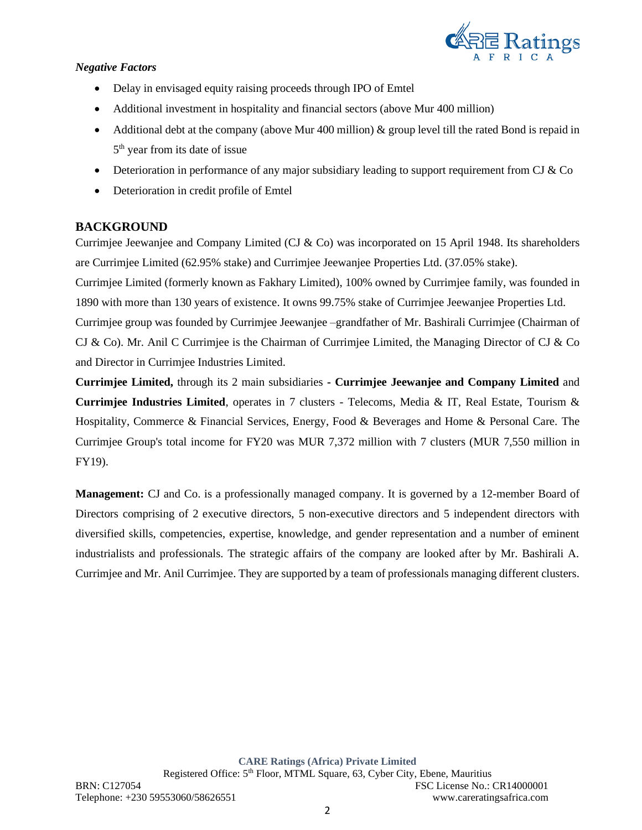

### *Negative Factors*

- Delay in envisaged equity raising proceeds through IPO of Emtel
- Additional investment in hospitality and financial sectors (above Mur 400 million)
- Additional debt at the company (above Mur 400 million)  $\&$  group level till the rated Bond is repaid in 5<sup>th</sup> year from its date of issue
- Deterioration in performance of any major subsidiary leading to support requirement from CJ  $&$  Co
- Deterioration in credit profile of Emtel

# **BACKGROUND**

Currimjee Jeewanjee and Company Limited (CJ & Co) was incorporated on 15 April 1948. Its shareholders are Currimjee Limited (62.95% stake) and Currimjee Jeewanjee Properties Ltd. (37.05% stake).

Currimjee Limited (formerly known as Fakhary Limited), 100% owned by Currimjee family, was founded in 1890 with more than 130 years of existence. It owns 99.75% stake of Currimjee Jeewanjee Properties Ltd.

Currimjee group was founded by Currimjee Jeewanjee –grandfather of Mr. Bashirali Currimjee (Chairman of CJ & Co). Mr. Anil C Currimjee is the Chairman of Currimjee Limited, the Managing Director of CJ & Co and Director in Currimjee Industries Limited.

**Currimjee Limited,** through its 2 main subsidiaries **- Currimjee Jeewanjee and Company Limited** and **Currimjee Industries Limited**, operates in 7 clusters - Telecoms, Media & IT, Real Estate, Tourism & Hospitality, Commerce & Financial Services, Energy, Food & Beverages and Home & Personal Care. The Currimjee Group's total income for FY20 was MUR 7,372 million with 7 clusters (MUR 7,550 million in FY19).

**Management:** CJ and Co. is a professionally managed company. It is governed by a 12-member Board of Directors comprising of 2 executive directors, 5 non-executive directors and 5 independent directors with diversified skills, competencies, expertise, knowledge, and gender representation and a number of eminent industrialists and professionals. The strategic affairs of the company are looked after by Mr. Bashirali A. Currimjee and Mr. Anil Currimjee. They are supported by a team of professionals managing different clusters.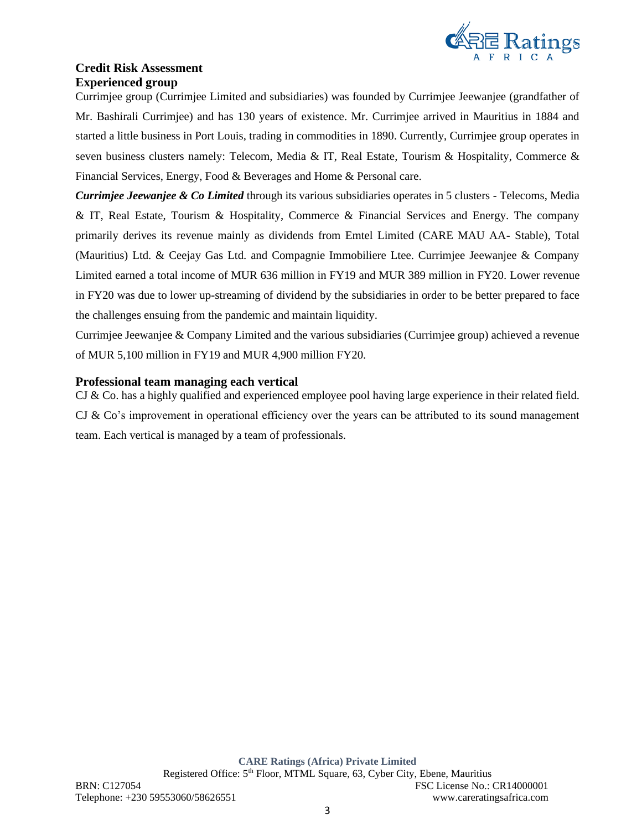

# **Credit Risk Assessment Experienced group**

Currimjee group (Currimjee Limited and subsidiaries) was founded by Currimjee Jeewanjee (grandfather of Mr. Bashirali Currimjee) and has 130 years of existence. Mr. Currimjee arrived in Mauritius in 1884 and started a little business in Port Louis, trading in commodities in 1890. Currently, Currimjee group operates in seven business clusters namely: Telecom, Media & IT, Real Estate, Tourism & Hospitality, Commerce & Financial Services, Energy, Food & Beverages and Home & Personal care.

*Currimjee Jeewanjee & Co Limited* through its various subsidiaries operates in 5 clusters - Telecoms, Media & IT, Real Estate, Tourism & Hospitality, Commerce & Financial Services and Energy. The company primarily derives its revenue mainly as dividends from Emtel Limited (CARE MAU AA- Stable), Total (Mauritius) Ltd. & Ceejay Gas Ltd. and Compagnie Immobiliere Ltee. Currimjee Jeewanjee & Company Limited earned a total income of MUR 636 million in FY19 and MUR 389 million in FY20. Lower revenue in FY20 was due to lower up-streaming of dividend by the subsidiaries in order to be better prepared to face the challenges ensuing from the pandemic and maintain liquidity.

Currimjee Jeewanjee & Company Limited and the various subsidiaries (Currimjee group) achieved a revenue of MUR 5,100 million in FY19 and MUR 4,900 million FY20.

# **Professional team managing each vertical**

CJ & Co. has a highly qualified and experienced employee pool having large experience in their related field. CJ  $\&$  Co's improvement in operational efficiency over the years can be attributed to its sound management team. Each vertical is managed by a team of professionals.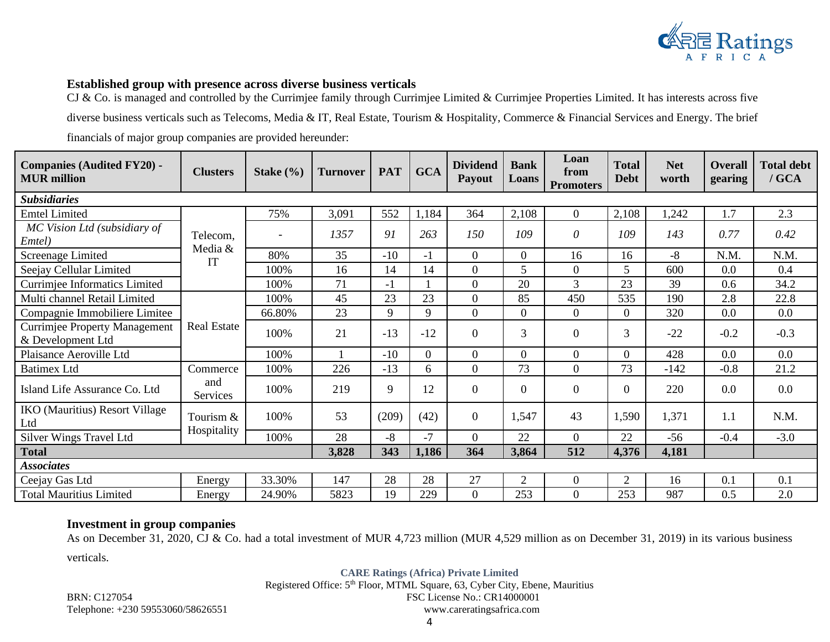

### **Established group with presence across diverse business verticals**

CJ & Co. is managed and controlled by the Currimjee family through Currimjee Limited & Currimjee Properties Limited. It has interests across five

diverse business verticals such as Telecoms, Media & IT, Real Estate, Tourism & Hospitality, Commerce & Financial Services and Energy. The brief

financials of major group companies are provided hereunder:

| <b>Companies (Audited FY20) -</b><br><b>MUR</b> million   | <b>Clusters</b>     | Stake $(\% )$ | <b>Turnover</b> | <b>PAT</b> | <b>GCA</b> | <b>Dividend</b><br><b>Payout</b> | <b>Bank</b><br>Loans | Loan<br>from<br><b>Promoters</b> | <b>Total</b><br><b>Debt</b> | <b>Net</b><br>worth | <b>Overall</b><br>gearing | <b>Total debt</b><br>$/$ GCA |
|-----------------------------------------------------------|---------------------|---------------|-----------------|------------|------------|----------------------------------|----------------------|----------------------------------|-----------------------------|---------------------|---------------------------|------------------------------|
| <b>Subsidiaries</b>                                       |                     |               |                 |            |            |                                  |                      |                                  |                             |                     |                           |                              |
| <b>Emtel Limited</b>                                      |                     | 75%           | 3,091           | 552        | 1,184      | 364                              | 2,108                | $\overline{0}$                   | 2,108                       | 1,242               | 1.7                       | 2.3                          |
| MC Vision Ltd (subsidiary of<br>Emtel)                    | Telecom,<br>Media & |               | 1357            | 91         | 263        | 150                              | 109                  | $\theta$                         | 109                         | 143                 | 0.77                      | 0.42                         |
| <b>Screenage Limited</b>                                  | IT                  | 80%           | 35              | $-10$      | $-1$       | $\Omega$                         | $\boldsymbol{0}$     | 16                               | 16                          | $-8$                | N.M.                      | N.M.                         |
| Seejay Cellular Limited                                   |                     | 100%          | 16              | 14         | 14         | $\overline{0}$                   | 5                    | $\boldsymbol{0}$                 | 5                           | 600                 | 0.0                       | 0.4                          |
| <b>Currimjee Informatics Limited</b>                      |                     | 100%          | 71              | -1         |            | $\overline{0}$                   | 20                   | $\overline{3}$                   | 23                          | 39                  | 0.6                       | 34.2                         |
| Multi channel Retail Limited                              |                     | 100%          | 45              | 23         | 23         | $\overline{0}$                   | 85                   | 450                              | 535                         | 190                 | 2.8                       | 22.8                         |
| Compagnie Immobiliere Limitee                             |                     | 66.80%        | 23              | 9          | 9          | $\Omega$                         | $\overline{0}$       | $\overline{0}$                   | 0                           | 320                 | 0.0                       | 0.0                          |
| <b>Currimjee Property Management</b><br>& Development Ltd | <b>Real Estate</b>  | 100%          | 21              | $-13$      | $-12$      | $\Omega$                         | 3                    | $\overline{0}$                   | $\overline{3}$              | $-22$               | $-0.2$                    | $-0.3$                       |
| Plaisance Aeroville Ltd                                   |                     | 100%          |                 | $-10$      | $\Omega$   | $\Omega$                         | $\overline{0}$       | $\boldsymbol{0}$                 | 0                           | 428                 | 0.0                       | 0.0                          |
| <b>Batimex Ltd</b>                                        | Commerce            | 100%          | 226             | $-13$      | 6          | $\overline{0}$                   | 73                   | $\boldsymbol{0}$                 | 73                          | $-142$              | $-0.8$                    | 21.2                         |
| Island Life Assurance Co. Ltd                             | and<br>Services     | 100%          | 219             | 9          | 12         | $\Omega$                         | $\overline{0}$       | $\overline{0}$                   | 0                           | 220                 | 0.0                       | $0.0\,$                      |
| <b>IKO</b> (Mauritius) Resort Village<br>Ltd              | Tourism &           | 100%          | 53              | (209)      | (42)       | $\Omega$                         | 1,547                | 43                               | 1,590                       | 1,371               | 1.1                       | N.M.                         |
| Silver Wings Travel Ltd                                   | Hospitality         | 100%          | 28              | -8         | $-7$       | $\overline{0}$                   | 22                   | $\overline{0}$                   | 22                          | $-56$               | $-0.4$                    | $-3.0$                       |
| <b>Total</b>                                              |                     |               | 3,828           | 343        | 1,186      | 364                              | 3,864                | 512                              | 4,376                       | 4,181               |                           |                              |
| <b>Associates</b>                                         |                     |               |                 |            |            |                                  |                      |                                  |                             |                     |                           |                              |
| Ceejay Gas Ltd                                            | Energy              | 33.30%        | 147             | 28         | 28         | 27                               | 2                    | $\mathbf{0}$                     | 2                           | 16                  | 0.1                       | 0.1                          |
| <b>Total Mauritius Limited</b>                            | Energy              | 24.90%        | 5823            | 19         | 229        | $\Omega$                         | 253                  | $\overline{0}$                   | 253                         | 987                 | 0.5                       | 2.0                          |

# **Investment in group companies**

As on December 31, 2020, CJ & Co. had a total investment of MUR 4,723 million (MUR 4,529 million as on December 31, 2019) in its various business

verticals.

**CARE Ratings (Africa) Private Limited**

Registered Office: 5<sup>th</sup> Floor, MTML Square, 63, Cyber City, Ebene, Mauritius BRN: C127054 FSC License No.: CR14000001

Telephone: +230 59553060/58626551 www.careratingsafrica.com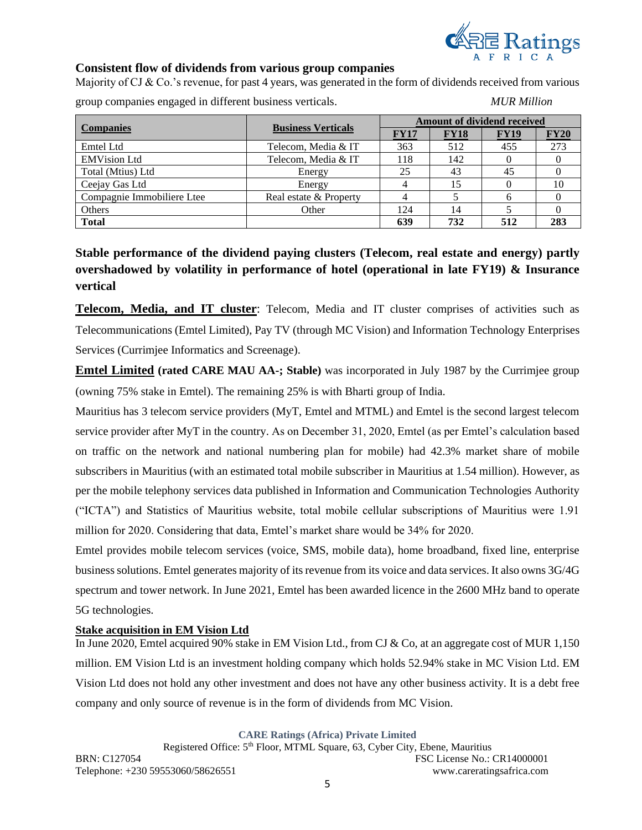

### **Consistent flow of dividends from various group companies**

Majority of CJ & Co.'s revenue, for past 4 years, was generated in the form of dividends received from various

group companies engaged in different business verticals. *MUR Million*

| <b>Companies</b>           | <b>Business Verticals</b> | <b>Amount of dividend received</b> |             |             |             |  |  |
|----------------------------|---------------------------|------------------------------------|-------------|-------------|-------------|--|--|
|                            |                           | <b>FY17</b>                        | <b>FY18</b> | <b>FY19</b> | <b>FY20</b> |  |  |
| Emtel Ltd                  | Telecom, Media & IT       | 363                                | 512         | 455         | 273         |  |  |
| <b>EMVision Ltd</b>        | Telecom, Media & IT       | 118                                | 142         |             |             |  |  |
| Total (Mtius) Ltd          | Energy                    | 25                                 | 43          | 45          |             |  |  |
| Ceejay Gas Ltd             | Energy                    |                                    | 15          |             | 10          |  |  |
| Compagnie Immobiliere Ltee | Real estate & Property    |                                    |             |             |             |  |  |
| Others                     | Other                     | 124                                | 14          |             |             |  |  |
| <b>Total</b>               |                           | 639                                | 732         | 512         | 283         |  |  |

# **Stable performance of the dividend paying clusters (Telecom, real estate and energy) partly overshadowed by volatility in performance of hotel (operational in late FY19) & Insurance vertical**

**Telecom, Media, and IT cluster**: Telecom, Media and IT cluster comprises of activities such as Telecommunications (Emtel Limited), Pay TV (through MC Vision) and Information Technology Enterprises Services (Currimjee Informatics and Screenage).

**Emtel Limited (rated CARE MAU AA-; Stable)** was incorporated in July 1987 by the Currimjee group (owning 75% stake in Emtel). The remaining 25% is with Bharti group of India.

Mauritius has 3 telecom service providers (MyT, Emtel and MTML) and Emtel is the second largest telecom service provider after MyT in the country. As on December 31, 2020, Emtel (as per Emtel's calculation based on traffic on the network and national numbering plan for mobile) had 42.3% market share of mobile subscribers in Mauritius (with an estimated total mobile subscriber in Mauritius at 1.54 million). However, as per the mobile telephony services data published in Information and Communication Technologies Authority ("ICTA") and Statistics of Mauritius website, total mobile cellular subscriptions of Mauritius were 1.91 million for 2020. Considering that data, Emtel's market share would be 34% for 2020.

Emtel provides mobile telecom services (voice, SMS, mobile data), home broadband, fixed line, enterprise business solutions. Emtel generates majority of its revenue from its voice and data services. It also owns 3G/4G spectrum and tower network. In June 2021, Emtel has been awarded licence in the 2600 MHz band to operate 5G technologies.

#### **Stake acquisition in EM Vision Ltd**

In June 2020, Emtel acquired 90% stake in EM Vision Ltd., from CJ & Co, at an aggregate cost of MUR 1,150 million. EM Vision Ltd is an investment holding company which holds 52.94% stake in MC Vision Ltd. EM Vision Ltd does not hold any other investment and does not have any other business activity. It is a debt free company and only source of revenue is in the form of dividends from MC Vision.

**CARE Ratings (Africa) Private Limited**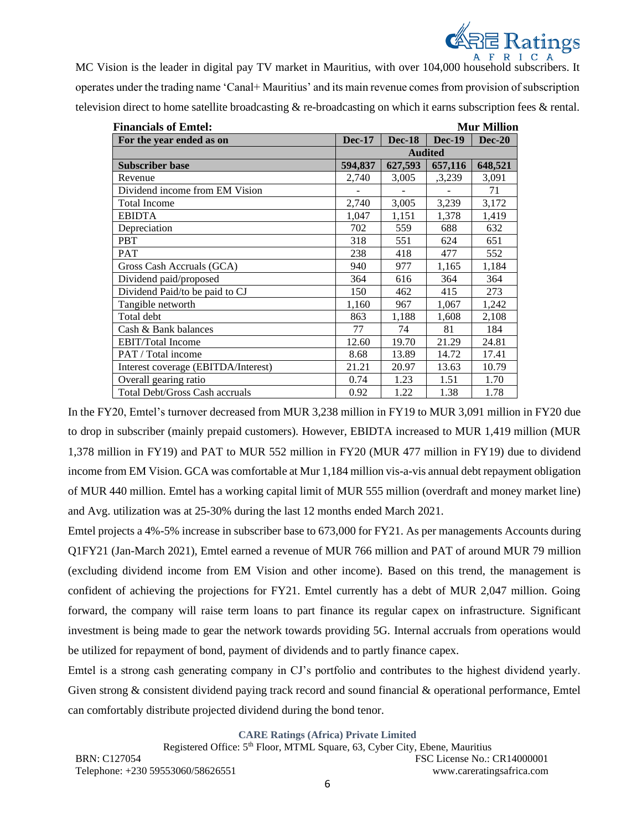

MC Vision is the leader in digital pay TV market in Mauritius, with over 104,000 household subscribers. It operates under the trading name 'Canal+ Mauritius' and its main revenue comes from provision of subscription television direct to home satellite broadcasting & re-broadcasting on which it earns subscription fees & rental.

| <b>Financials of Emtel:</b>         |               |               |                | <b>Mur Million</b> |
|-------------------------------------|---------------|---------------|----------------|--------------------|
| For the year ended as on            | <b>Dec-17</b> | <b>Dec-18</b> | <b>Dec-19</b>  | <b>Dec-20</b>      |
|                                     |               |               | <b>Audited</b> |                    |
| <b>Subscriber base</b>              | 594,837       | 627,593       | 657,116        | 648,521            |
| Revenue                             | 2,740         | 3,005         | ,3,239         | 3,091              |
| Dividend income from EM Vision      |               |               |                | 71                 |
| <b>Total Income</b>                 | 2,740         | 3,005         | 3,239          | 3,172              |
| <b>EBIDTA</b>                       | 1,047         | 1,151         | 1,378          | 1,419              |
| Depreciation                        | 702           | 559           | 688            | 632                |
| <b>PBT</b>                          | 318           | 551           | 624            | 651                |
| <b>PAT</b>                          | 238           | 418           | 477            | 552                |
| Gross Cash Accruals (GCA)           | 940           | 977           | 1,165          | 1,184              |
| Dividend paid/proposed              | 364           | 616           | 364            | 364                |
| Dividend Paid/to be paid to CJ      | 150           | 462           | 415            | 273                |
| Tangible networth                   | 1,160         | 967           | 1,067          | 1,242              |
| Total debt                          | 863           | 1,188         | 1,608          | 2,108              |
| Cash & Bank balances                | 77            | 74            | 81             | 184                |
| <b>EBIT/Total Income</b>            | 12.60         | 19.70         | 21.29          | 24.81              |
| PAT / Total income                  | 8.68          | 13.89         | 14.72          | 17.41              |
| Interest coverage (EBITDA/Interest) | 21.21         | 20.97         | 13.63          | 10.79              |
| Overall gearing ratio               | 0.74          | 1.23          | 1.51           | 1.70               |
| Total Debt/Gross Cash accruals      | 0.92          | 1.22          | 1.38           | 1.78               |

In the FY20, Emtel's turnover decreased from MUR 3,238 million in FY19 to MUR 3,091 million in FY20 due to drop in subscriber (mainly prepaid customers). However, EBIDTA increased to MUR 1,419 million (MUR 1,378 million in FY19) and PAT to MUR 552 million in FY20 (MUR 477 million in FY19) due to dividend income from EM Vision. GCA was comfortable at Mur 1,184 million vis-a-vis annual debt repayment obligation of MUR 440 million. Emtel has a working capital limit of MUR 555 million (overdraft and money market line) and Avg. utilization was at 25-30% during the last 12 months ended March 2021.

Emtel projects a 4%-5% increase in subscriber base to 673,000 for FY21. As per managements Accounts during Q1FY21 (Jan-March 2021), Emtel earned a revenue of MUR 766 million and PAT of around MUR 79 million (excluding dividend income from EM Vision and other income). Based on this trend, the management is confident of achieving the projections for FY21. Emtel currently has a debt of MUR 2,047 million. Going forward, the company will raise term loans to part finance its regular capex on infrastructure. Significant investment is being made to gear the network towards providing 5G. Internal accruals from operations would be utilized for repayment of bond, payment of dividends and to partly finance capex.

Emtel is a strong cash generating company in CJ's portfolio and contributes to the highest dividend yearly. Given strong & consistent dividend paying track record and sound financial & operational performance, Emtel can comfortably distribute projected dividend during the bond tenor.

**CARE Ratings (Africa) Private Limited**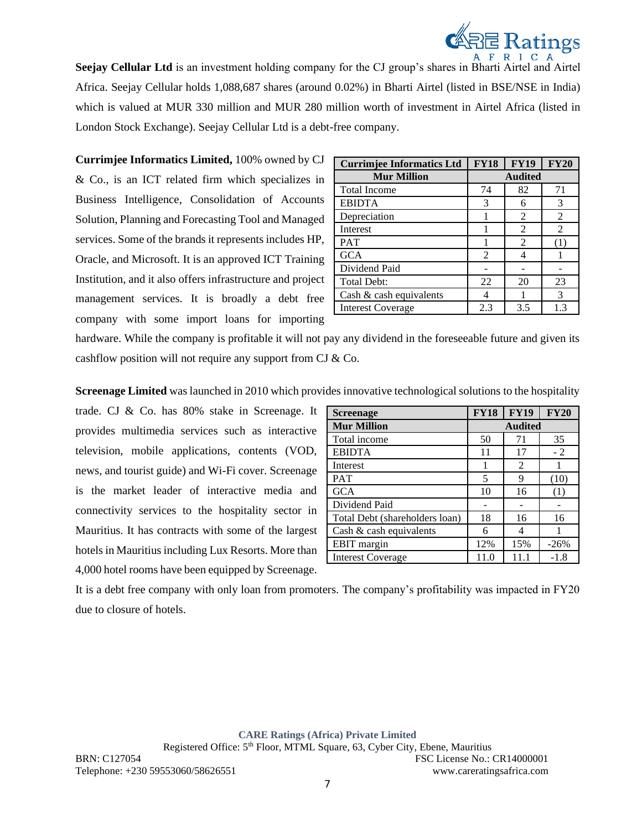

**Seejay Cellular Ltd** is an investment holding company for the CJ group's shares in Bharti Airtel and Airtel Africa. Seejay Cellular holds 1,088,687 shares (around 0.02%) in Bharti Airtel (listed in BSE/NSE in India) which is valued at MUR 330 million and MUR 280 million worth of investment in Airtel Africa (listed in London Stock Exchange). Seejay Cellular Ltd is a debt-free company.

**Currimjee Informatics Limited,** 100% owned by CJ & Co., is an ICT related firm which specializes in Business Intelligence, Consolidation of Accounts Solution, Planning and Forecasting Tool and Managed services. Some of the brands it represents includes HP, Oracle, and Microsoft. It is an approved ICT Training Institution, and it also offers infrastructure and project management services. It is broadly a debt free company with some import loans for importing

| <b>Currimjee Informatics Ltd</b> | <b>FY18</b>    | <b>FY19</b>    | <b>FY20</b>    |
|----------------------------------|----------------|----------------|----------------|
| <b>Mur Million</b>               | <b>Audited</b> |                |                |
| <b>Total Income</b>              | 74             | 82             | 71             |
| <b>EBIDTA</b>                    | 3              | 6              | 3              |
| Depreciation                     |                | 2              | 2              |
| Interest                         |                | 2              | $\mathfrak{D}$ |
| <b>PAT</b>                       |                | $\mathfrak{D}$ | (1)            |
| <b>GCA</b>                       | 2              |                |                |
| Dividend Paid                    |                |                |                |
| Total Debt:                      | 22             | 20             | 23             |
| Cash & cash equivalents          | 4              |                | 3              |
| <b>Interest Coverage</b>         | 2.3            | 3.5            | 1.3            |

hardware. While the company is profitable it will not pay any dividend in the foreseeable future and given its cashflow position will not require any support from CJ & Co.

**Screenage Limited** was launched in 2010 which provides innovative technological solutions to the hospitality

trade. CJ & Co. has 80% stake in Screenage. It provides multimedia services such as interactive television, mobile applications, contents (VOD, news, and tourist guide) and Wi-Fi cover. Screenage is the market leader of interactive media and connectivity services to the hospitality sector in Mauritius. It has contracts with some of the largest hotels in Mauritius including Lux Resorts. More than 4,000 hotel rooms have been equipped by Screenage.

| <b>Screenage</b>               | <b>FY18</b> | <b>FY19</b>    | <b>FY20</b> |
|--------------------------------|-------------|----------------|-------------|
| <b>Mur Million</b>             |             | <b>Audited</b> |             |
| Total income                   | 50          | 71             | 35          |
| <b>EBIDTA</b>                  | 11          | 17             | $-2$        |
| Interest                       |             | $\mathfrak{D}$ |             |
| <b>PAT</b>                     | 5           | 9              | (10)        |
| <b>GCA</b>                     | 10          | 16             | (1)         |
| Dividend Paid                  |             |                |             |
| Total Debt (shareholders loan) | 18          | 16             | 16          |
| Cash $\&$ cash equivalents     | 6           |                |             |
| EBIT margin                    | 12%         | 15%            | $-26%$      |
| <b>Interest Coverage</b>       | 11.0        | 11.1           | $-1.8$      |

It is a debt free company with only loan from promoters. The company's profitability was impacted in FY20 due to closure of hotels.

**CARE Ratings (Africa) Private Limited**

Registered Office: 5<sup>th</sup> Floor, MTML Square, 63, Cyber City, Ebene, Mauritius BRN: C127054 FSC License No.: CR14000001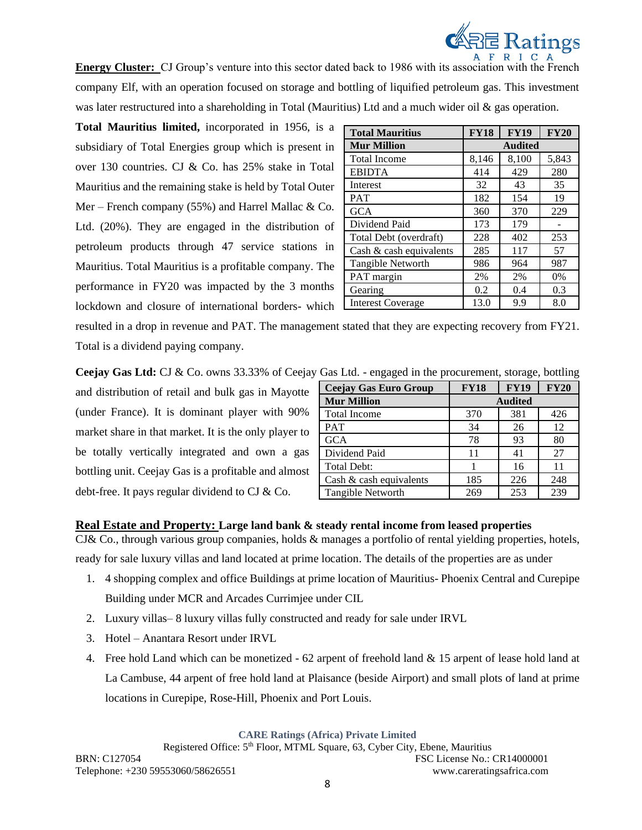

**Energy Cluster:** CJ Group's venture into this sector dated back to 1986 with its association with the French company Elf, with an operation focused on storage and bottling of liquified petroleum gas. This investment was later restructured into a shareholding in Total (Mauritius) Ltd and a much wider oil & gas operation.

**Total Mauritius limited,** incorporated in 1956, is a subsidiary of Total Energies group which is present in over 130 countries. CJ & Co. has 25% stake in Total Mauritius and the remaining stake is held by Total Outer Mer – French company (55%) and Harrel Mallac  $& Co.$ Ltd. (20%). They are engaged in the distribution of petroleum products through 47 service stations in Mauritius. Total Mauritius is a profitable company. The performance in FY20 was impacted by the 3 months lockdown and closure of international borders- which

| <b>Total Mauritius</b>     | <b>FY18</b>    | <b>FY19</b> | <b>FY20</b> |  |  |
|----------------------------|----------------|-------------|-------------|--|--|
| <b>Mur Million</b>         | <b>Audited</b> |             |             |  |  |
| <b>Total Income</b>        | 8,146          | 8,100       | 5,843       |  |  |
| <b>EBIDTA</b>              | 414            | 429         | 280         |  |  |
| Interest                   | 32             | 43          | 35          |  |  |
| <b>PAT</b>                 | 182            | 154         | 19          |  |  |
| <b>GCA</b>                 | 360            | 370         | 229         |  |  |
| Dividend Paid              | 173            | 179         |             |  |  |
| Total Debt (overdraft)     | 228            | 402         | 253         |  |  |
| Cash $\&$ cash equivalents | 285            | 117         | 57          |  |  |
| Tangible Networth          | 986            | 964         | 987         |  |  |
| PAT margin                 | 2%             | 2%          | 0%          |  |  |
| Gearing                    | 0.2            | 0.4         | 0.3         |  |  |
| <b>Interest Coverage</b>   | 13.0           | 9.9         | 8.0         |  |  |

resulted in a drop in revenue and PAT. The management stated that they are expecting recovery from FY21. Total is a dividend paying company.

**Ceejay Gas Ltd:** CJ & Co. owns 33.33% of Ceejay Gas Ltd. - engaged in the procurement, storage, bottling

and distribution of retail and bulk gas in Mayotte (under France). It is dominant player with 90% market share in that market. It is the only player to be totally vertically integrated and own a gas bottling unit. Ceejay Gas is a profitable and almost debt-free. It pays regular dividend to CJ & Co.

| <b>Ceejay Gas Euro Group</b> | <b>FY18</b> | <b>FY19</b>    | <b>FY20</b> |
|------------------------------|-------------|----------------|-------------|
| <b>Mur Million</b>           |             | <b>Audited</b> |             |
| <b>Total Income</b>          | 370         | 381            | 426         |
| <b>PAT</b>                   | 34          | 26             | 12          |
| <b>GCA</b>                   | 78          | 93             | 80          |
| Dividend Paid                | 11          | 41             | 27          |
| <b>Total Debt:</b>           |             | 16             | 11          |
| Cash $\&$ cash equivalents   | 185         | 226            | 248         |
| Tangible Networth            | 269         | 253            | 239         |

# **Real Estate and Property: Large land bank & steady rental income from leased properties**

CJ& Co., through various group companies, holds & manages a portfolio of rental yielding properties, hotels,

ready for sale luxury villas and land located at prime location. The details of the properties are as under

- 1. 4 shopping complex and office Buildings at prime location of Mauritius- Phoenix Central and Curepipe Building under MCR and Arcades Currimjee under CIL
- 2. Luxury villas– 8 luxury villas fully constructed and ready for sale under IRVL
- 3. Hotel Anantara Resort under IRVL
- 4. Free hold Land which can be monetized 62 arpent of freehold land & 15 arpent of lease hold land at La Cambuse, 44 arpent of free hold land at Plaisance (beside Airport) and small plots of land at prime locations in Curepipe, Rose-Hill, Phoenix and Port Louis.

**CARE Ratings (Africa) Private Limited**

8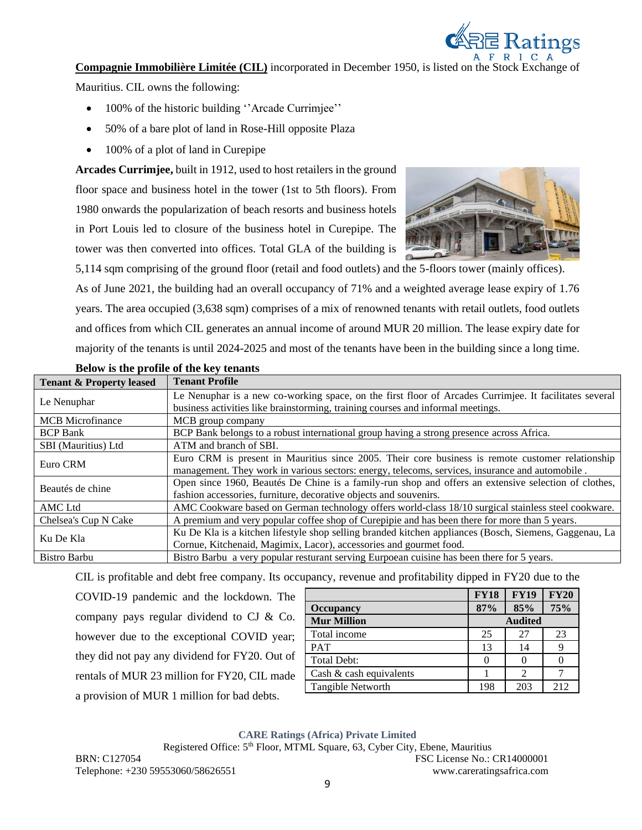

**Compagnie Immobilière Limitée (CIL)** incorporated in December 1950, is listed on the Stock Exchange of

Mauritius. CIL owns the following:

- 100% of the historic building ''Arcade Currimjee''
- 50% of a bare plot of land in Rose-Hill opposite Plaza
- 100% of a plot of land in Curepipe

**Arcades Currimjee,** built in 1912, used to host retailers in the ground floor space and business hotel in the tower (1st to 5th floors). From 1980 onwards the popularization of beach resorts and business hotels in Port Louis led to closure of the business hotel in Curepipe. The tower was then converted into offices. Total GLA of the building is



5,114 sqm comprising of the ground floor (retail and food outlets) and the 5-floors tower (mainly offices). As of June 2021, the building had an overall occupancy of 71% and a weighted average lease expiry of 1.76 years. The area occupied (3,638 sqm) comprises of a mix of renowned tenants with retail outlets, food outlets and offices from which CIL generates an annual income of around MUR 20 million. The lease expiry date for majority of the tenants is until 2024-2025 and most of the tenants have been in the building since a long time.

| <b>Tenant &amp; Property leased</b> | <b>Tenant Profile</b>                                                                                  |
|-------------------------------------|--------------------------------------------------------------------------------------------------------|
|                                     | Le Nenuphar is a new co-working space, on the first floor of Arcades Currimjee. It facilitates several |
| Le Nenuphar                         | business activities like brainstorming, training courses and informal meetings.                        |
| <b>MCB</b> Microfinance             | MCB group company                                                                                      |
| <b>BCP Bank</b>                     | BCP Bank belongs to a robust international group having a strong presence across Africa.               |
| SBI (Mauritius) Ltd                 | ATM and branch of SBI.                                                                                 |
| Euro CRM                            | Euro CRM is present in Mauritius since 2005. Their core business is remote customer relationship       |
|                                     | management. They work in various sectors: energy, telecoms, services, insurance and automobile.        |
| Beautés de chine                    | Open since 1960, Beautés De Chine is a family-run shop and offers an extensive selection of clothes,   |
|                                     | fashion accessories, furniture, decorative objects and souvenirs.                                      |
| <b>AMC</b> Ltd                      | AMC Cookware based on German technology offers world-class 18/10 surgical stainless steel cookware.    |
| Chelsea's Cup N Cake                | A premium and very popular coffee shop of Curepipie and has been there for more than 5 years.          |
| Ku De Kla                           | Ku De Kla is a kitchen lifestyle shop selling branded kitchen appliances (Bosch, Siemens, Gaggenau, La |
|                                     | Cornue, Kitchenaid, Magimix, Lacor), accessories and gourmet food.                                     |
| <b>Bistro Barbu</b>                 | Bistro Barbu a very popular resturant serving Eurooean cuisine has been there for 5 years.             |

#### **Below is the profile of the key tenants**

CIL is profitable and debt free company. Its occupancy, revenue and profitability dipped in FY20 due to the

COVID-19 pandemic and the lockdown. The company pays regular dividend to CJ & Co. however due to the exceptional COVID year; they did not pay any dividend for FY20. Out of rentals of MUR 23 million for FY20, CIL made a provision of MUR 1 million for bad debts.

|                            | <b>FY18</b>    | <b>FY19</b> | <b>FY20</b> |
|----------------------------|----------------|-------------|-------------|
| <b>Occupancy</b>           | 87%            | 85%         | 75%         |
| <b>Mur Million</b>         | <b>Audited</b> |             |             |
| Total income               | 25             | 27          | 23          |
| <b>PAT</b>                 | 13             | 14          |             |
| Total Debt:                |                |             |             |
| Cash $\&$ cash equivalents |                |             |             |
| <b>Tangible Networth</b>   | 198            | 203         | 212         |

#### **CARE Ratings (Africa) Private Limited**

Registered Office: 5<sup>th</sup> Floor, MTML Square, 63, Cyber City, Ebene, Mauritius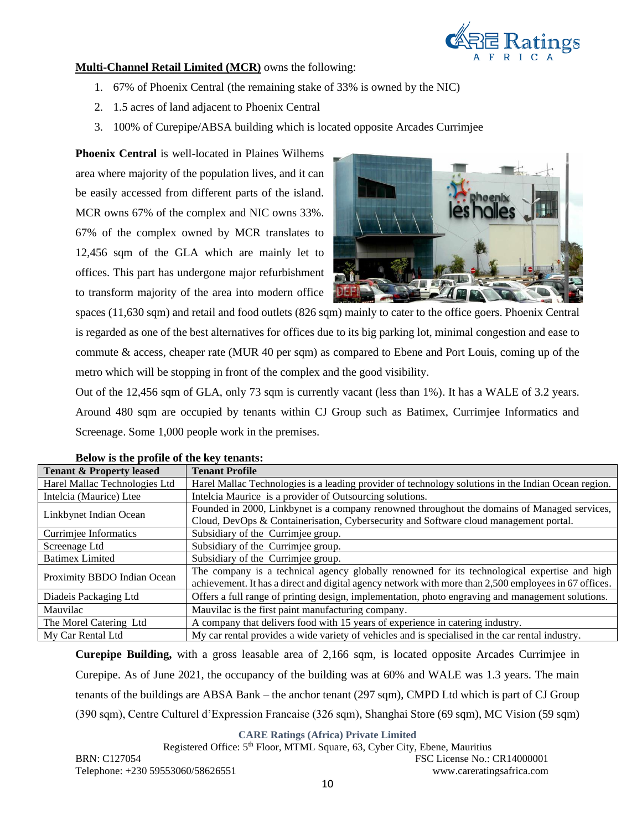

#### **Multi-Channel Retail Limited (MCR)** owns the following:

- 1. 67% of Phoenix Central (the remaining stake of 33% is owned by the NIC)
- 2. 1.5 acres of land adjacent to Phoenix Central
- 3. 100% of Curepipe/ABSA building which is located opposite Arcades Currimjee

**Phoenix Central** is well-located in Plaines Wilhems area where majority of the population lives, and it can be easily accessed from different parts of the island. MCR owns 67% of the complex and NIC owns 33%. 67% of the complex owned by MCR translates to 12,456 sqm of the GLA which are mainly let to offices. This part has undergone major refurbishment to transform majority of the area into modern office



spaces (11,630 sqm) and retail and food outlets (826 sqm) mainly to cater to the office goers. Phoenix Central is regarded as one of the best alternatives for offices due to its big parking lot, minimal congestion and ease to commute & access, cheaper rate (MUR 40 per sqm) as compared to Ebene and Port Louis, coming up of the metro which will be stopping in front of the complex and the good visibility.

Out of the 12,456 sqm of GLA, only 73 sqm is currently vacant (less than 1%). It has a WALE of 3.2 years. Around 480 sqm are occupied by tenants within CJ Group such as Batimex, Currimjee Informatics and Screenage. Some 1,000 people work in the premises.

| <b>Tenant &amp; Property leased</b> | <b>Tenant Profile</b>                                                                                                                                                                                 |
|-------------------------------------|-------------------------------------------------------------------------------------------------------------------------------------------------------------------------------------------------------|
| Harel Mallac Technologies Ltd       | Harel Mallac Technologies is a leading provider of technology solutions in the Indian Ocean region.                                                                                                   |
| Intelcia (Maurice) Ltee             | Intelcia Maurice is a provider of Outsourcing solutions.                                                                                                                                              |
| Linkbynet Indian Ocean              | Founded in 2000, Linkbynet is a company renowned throughout the domains of Managed services,<br>Cloud, DevOps & Containerisation, Cybersecurity and Software cloud management portal.                 |
| Currimjee Informatics               | Subsidiary of the Currimjee group.                                                                                                                                                                    |
| Screenage Ltd                       | Subsidiary of the Currimjee group.                                                                                                                                                                    |
| <b>Batimex Limited</b>              | Subsidiary of the Currimjee group.                                                                                                                                                                    |
| Proximity BBDO Indian Ocean         | The company is a technical agency globally renowned for its technological expertise and high<br>achievement. It has a direct and digital agency network with more than 2,500 employees in 67 offices. |
| Diadeis Packaging Ltd               | Offers a full range of printing design, implementation, photo engraving and management solutions.                                                                                                     |
| Mauvilac                            | Mauvilac is the first paint manufacturing company.                                                                                                                                                    |
| The Morel Catering Ltd              | A company that delivers food with 15 years of experience in catering industry.                                                                                                                        |
| My Car Rental Ltd                   | My car rental provides a wide variety of vehicles and is specialised in the car rental industry.                                                                                                      |

#### **Below is the profile of the key tenants:**

**Curepipe Building,** with a gross leasable area of 2,166 sqm, is located opposite Arcades Currimjee in Curepipe. As of June 2021, the occupancy of the building was at 60% and WALE was 1.3 years. The main tenants of the buildings are ABSA Bank – the anchor tenant (297 sqm), CMPD Ltd which is part of CJ Group (390 sqm), Centre Culturel d'Expression Francaise (326 sqm), Shanghai Store (69 sqm), MC Vision (59 sqm)

### **CARE Ratings (Africa) Private Limited**

Registered Office: 5<sup>th</sup> Floor, MTML Square, 63, Cyber City, Ebene, Mauritius BRN: C127054 FSC License No.: CR14000001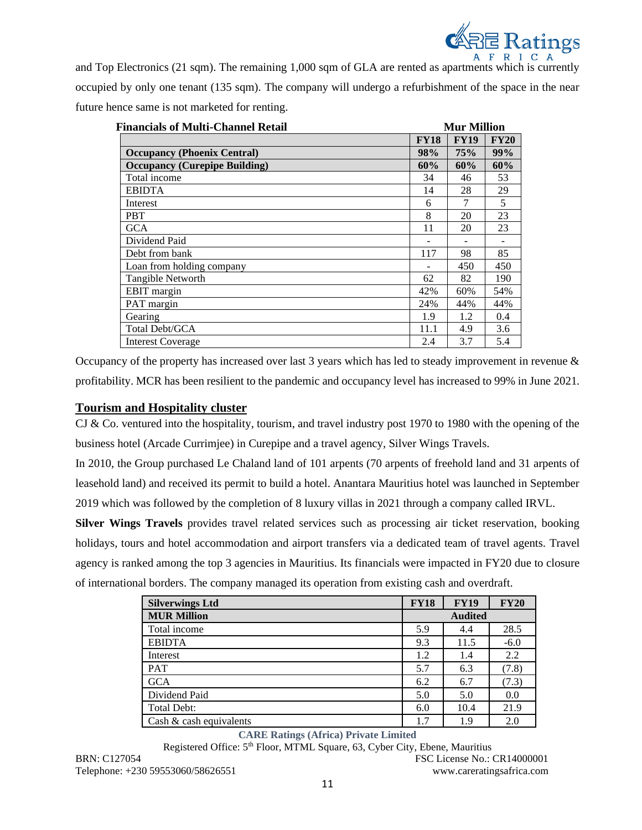

and Top Electronics (21 sqm). The remaining 1,000 sqm of GLA are rented as apartments which is currently occupied by only one tenant (135 sqm). The company will undergo a refurbishment of the space in the near future hence same is not marketed for renting.

| <b>Financials of Multi-Channel Retail</b> |             | <b>Mur Million</b> |             |
|-------------------------------------------|-------------|--------------------|-------------|
|                                           | <b>FY18</b> | <b>FY19</b>        | <b>FY20</b> |
| <b>Occupancy (Phoenix Central)</b>        | 98%         | 75%                | 99%         |
| <b>Occupancy (Curepipe Building)</b>      | 60%         | 60%                | 60%         |
| Total income                              | 34          | 46                 | 53          |
| <b>EBIDTA</b>                             | 14          | 28                 | 29          |
| Interest                                  | 6           | 7                  | 5           |
| <b>PBT</b>                                | 8           | 20                 | 23          |
| <b>GCA</b>                                | 11          | 20                 | 23          |
| Dividend Paid                             |             |                    |             |
| Debt from bank                            | 117         | 98                 | 85          |
| Loan from holding company                 |             | 450                | 450         |
| Tangible Networth                         | 62          | 82                 | 190         |
| EBIT margin                               | 42%         | 60%                | 54%         |
| PAT margin                                | 24%         | 44%                | 44%         |
| Gearing                                   | 1.9         | 1.2                | 0.4         |
| Total Debt/GCA                            | 11.1        | 4.9                | 3.6         |
| <b>Interest Coverage</b>                  | 2.4         | 3.7                | 5.4         |

Occupancy of the property has increased over last 3 years which has led to steady improvement in revenue & profitability. MCR has been resilient to the pandemic and occupancy level has increased to 99% in June 2021.

### **Tourism and Hospitality cluster**

CJ & Co. ventured into the hospitality, tourism, and travel industry post 1970 to 1980 with the opening of the business hotel (Arcade Currimjee) in Curepipe and a travel agency, Silver Wings Travels.

In 2010, the Group purchased Le Chaland land of 101 arpents (70 arpents of freehold land and 31 arpents of leasehold land) and received its permit to build a hotel. Anantara Mauritius hotel was launched in September 2019 which was followed by the completion of 8 luxury villas in 2021 through a company called IRVL.

**Silver Wings Travels** provides travel related services such as processing air ticket reservation, booking holidays, tours and hotel accommodation and airport transfers via a dedicated team of travel agents. Travel agency is ranked among the top 3 agencies in Mauritius. Its financials were impacted in FY20 due to closure of international borders. The company managed its operation from existing cash and overdraft.

| <b>Silverwings Ltd</b>     | <b>FY18</b>    | <b>FY19</b> | <b>FY20</b> |  |
|----------------------------|----------------|-------------|-------------|--|
| <b>MUR Million</b>         | <b>Audited</b> |             |             |  |
| Total income               | 5.9            | 4.4         | 28.5        |  |
| <b>EBIDTA</b>              | 9.3            | 11.5        | $-6.0$      |  |
| Interest                   | 1.2            | 1.4         | 2.2         |  |
| <b>PAT</b>                 | 5.7            | 6.3         | (7.8)       |  |
| <b>GCA</b>                 | 6.2            | 6.7         | (7.3)       |  |
| Dividend Paid              | 5.0            | 5.0         | 0.0         |  |
| <b>Total Debt:</b>         | 6.0            | 10.4        | 21.9        |  |
| Cash $\&$ cash equivalents | 1.7            | 1.9         | 2.0         |  |

### **CARE Ratings (Africa) Private Limited**

Registered Office: 5<sup>th</sup> Floor, MTML Square, 63, Cyber City, Ebene, Mauritius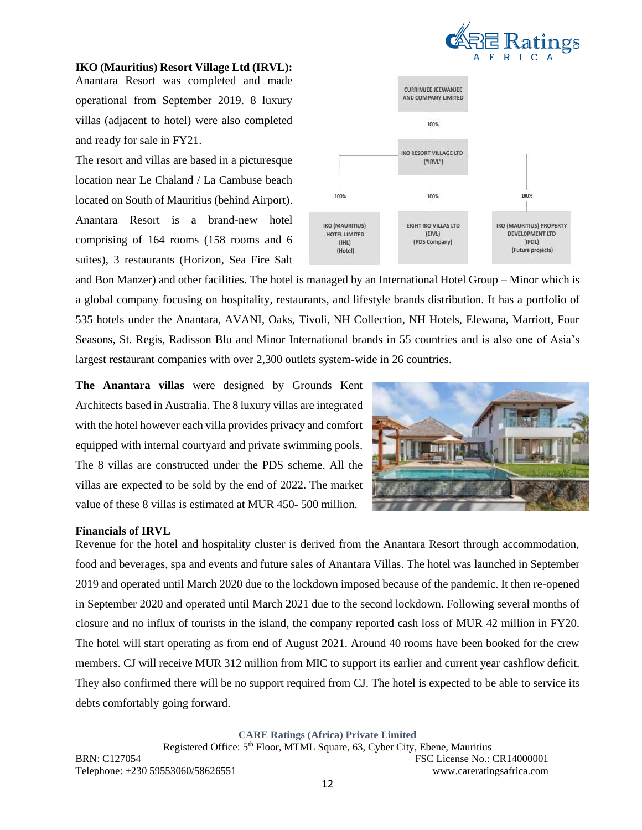

**IKO (Mauritius) Resort Village Ltd (IRVL):** Anantara Resort was completed and made operational from September 2019. 8 luxury villas (adjacent to hotel) were also completed and ready for sale in FY21.

The resort and villas are based in a picturesque location near Le Chaland / La Cambuse beach located on South of Mauritius (behind Airport). Anantara Resort is a brand-new hotel comprising of 164 rooms (158 rooms and 6 suites), 3 restaurants (Horizon, Sea Fire Salt



and Bon Manzer) and other facilities. The hotel is managed by an International Hotel Group – Minor which is a global company focusing on hospitality, restaurants, and lifestyle brands distribution. It has a portfolio of 535 hotels under the Anantara, AVANI, Oaks, Tivoli, NH Collection, NH Hotels, Elewana, Marriott, Four Seasons, St. Regis, Radisson Blu and Minor International brands in 55 countries and is also one of Asia's largest restaurant companies with over 2,300 outlets system-wide in 26 countries.

**The Anantara villas** were designed by Grounds Kent Architects based in Australia. The 8 luxury villas are integrated with the hotel however each villa provides privacy and comfort equipped with internal courtyard and private swimming pools. The 8 villas are constructed under the PDS scheme. All the villas are expected to be sold by the end of 2022. The market value of these 8 villas is estimated at MUR 450- 500 million.



#### **Financials of IRVL**

Revenue for the hotel and hospitality cluster is derived from the Anantara Resort through accommodation, food and beverages, spa and events and future sales of Anantara Villas. The hotel was launched in September 2019 and operated until March 2020 due to the lockdown imposed because of the pandemic. It then re-opened in September 2020 and operated until March 2021 due to the second lockdown. Following several months of closure and no influx of tourists in the island, the company reported cash loss of MUR 42 million in FY20. The hotel will start operating as from end of August 2021. Around 40 rooms have been booked for the crew members. CJ will receive MUR 312 million from MIC to support its earlier and current year cashflow deficit. They also confirmed there will be no support required from CJ. The hotel is expected to be able to service its debts comfortably going forward.

**CARE Ratings (Africa) Private Limited**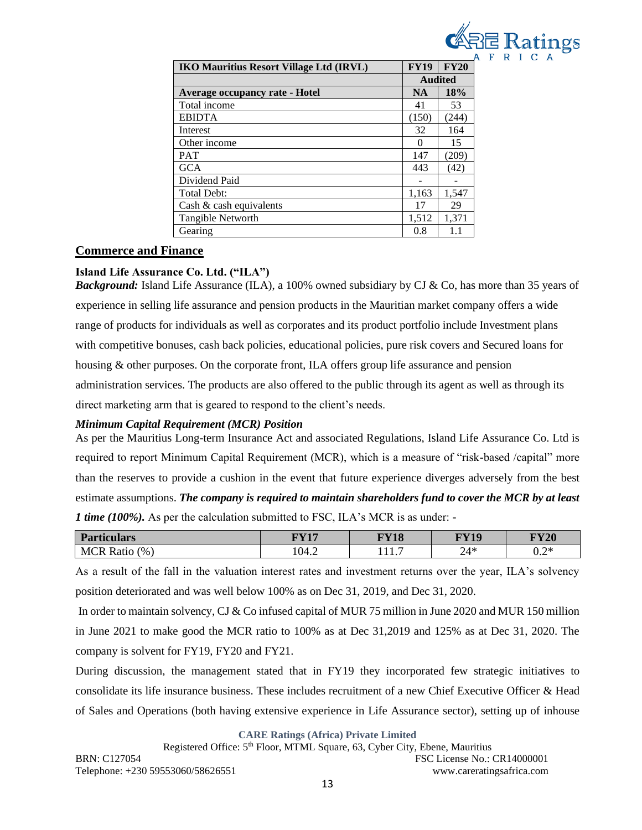

| <b>IKO Mauritius Resort Village Ltd (IRVL)</b> | <b>FY19</b>      | <b>FY20</b> |  |
|------------------------------------------------|------------------|-------------|--|
|                                                | <b>Audited</b>   |             |  |
| Average occupancy rate - Hotel                 | 18%<br><b>NA</b> |             |  |
| Total income                                   | 41               | 53          |  |
| <b>EBIDTA</b>                                  | (150)            | (244)       |  |
| Interest                                       | 32               | 164         |  |
| Other income                                   |                  | 15          |  |
| <b>PAT</b>                                     | 147              | (209)       |  |
| <b>GCA</b>                                     | 443              | (42)        |  |
| Dividend Paid                                  |                  |             |  |
| <b>Total Debt:</b>                             | 1,163            | 1,547       |  |
| Cash $\&$ cash equivalents                     | 17               | 29          |  |
| Tangible Networth                              | 1,512            | 1,371       |  |
| Gearing                                        | 0.8              | 1.1         |  |

# **Commerce and Finance**

# **Island Life Assurance Co. Ltd. ("ILA")**

*Background:* Island Life Assurance (ILA), a 100% owned subsidiary by CJ & Co, has more than 35 years of experience in selling life assurance and pension products in the Mauritian market company offers a wide range of products for individuals as well as corporates and its product portfolio include Investment plans with competitive bonuses, cash back policies, educational policies, pure risk covers and Secured loans for housing & other purposes. On the corporate front, ILA offers group life assurance and pension administration services. The products are also offered to the public through its agent as well as through its direct marketing arm that is geared to respond to the client's needs.

# *Minimum Capital Requirement (MCR) Position*

As per the Mauritius Long-term Insurance Act and associated Regulations, Island Life Assurance Co. Ltd is required to report Minimum Capital Requirement (MCR), which is a measure of "risk-based /capital" more than the reserves to provide a cushion in the event that future experience diverges adversely from the best estimate assumptions. *The company is required to maintain shareholders fund to cover the MCR by at least 1 time (100%).* As per the calculation submitted to FSC, ILA's MCR is as under: -

| Par<br><b>ticulars</b>           | $\bf TVI7$ | <b>FY18</b> | $\bf{F}V10$ | <b>FY20</b> |
|----------------------------------|------------|-------------|-------------|-------------|
| <b>MCF</b><br>(9)<br>v<br>R atic | 104.2      | .           | $24*$       | ำ∗ะ<br>∪.∠  |

As a result of the fall in the valuation interest rates and investment returns over the year, ILA's solvency position deteriorated and was well below 100% as on Dec 31, 2019, and Dec 31, 2020.

In order to maintain solvency, CJ & Co infused capital of MUR 75 million in June 2020 and MUR 150 million in June 2021 to make good the MCR ratio to 100% as at Dec 31,2019 and 125% as at Dec 31, 2020. The company is solvent for FY19, FY20 and FY21.

During discussion, the management stated that in FY19 they incorporated few strategic initiatives to consolidate its life insurance business. These includes recruitment of a new Chief Executive Officer & Head of Sales and Operations (both having extensive experience in Life Assurance sector), setting up of inhouse

**CARE Ratings (Africa) Private Limited**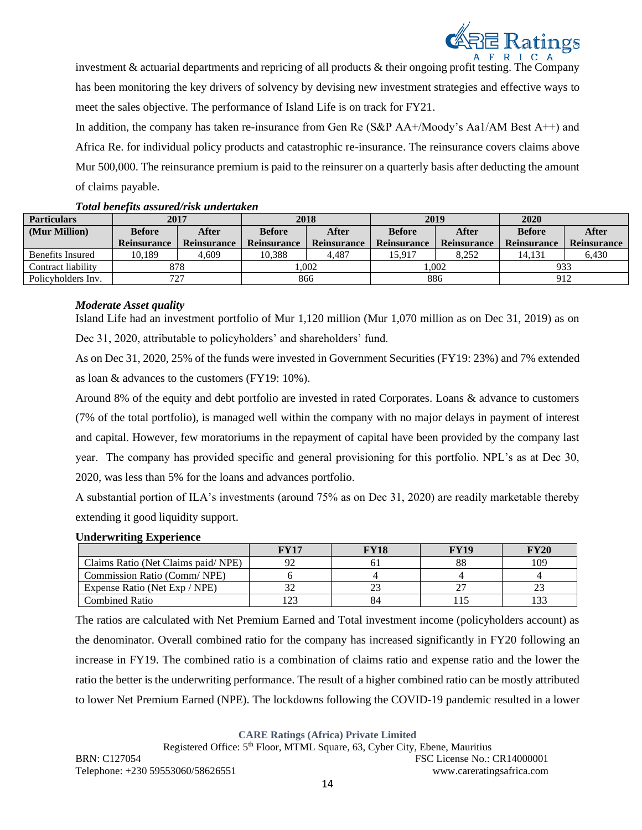

investment & actuarial departments and repricing of all products & their ongoing profit testing. The Company has been monitoring the key drivers of solvency by devising new investment strategies and effective ways to meet the sales objective. The performance of Island Life is on track for FY21.

In addition, the company has taken re-insurance from Gen Re (S&P AA+/Moody's Aa1/AM Best A++) and Africa Re. for individual policy products and catastrophic re-insurance. The reinsurance covers claims above Mur 500,000. The reinsurance premium is paid to the reinsurer on a quarterly basis after deducting the amount of claims payable.

| <b>Particulars</b> | 2017               |                    | 2018               |                    | 2019               |                    | 2020               |                    |
|--------------------|--------------------|--------------------|--------------------|--------------------|--------------------|--------------------|--------------------|--------------------|
| (Mur Million)      | <b>Before</b>      | After              | <b>Before</b>      | <b>After</b>       | <b>Before</b>      | <b>After</b>       | <b>Before</b>      | After              |
|                    | <b>Reinsurance</b> | <b>Reinsurance</b> | <b>Reinsurance</b> | <b>Reinsurance</b> | <b>Reinsurance</b> | <b>Reinsurance</b> | <b>Reinsurance</b> | <b>Reinsurance</b> |
| Benefits Insured   | 10.189             | 4.609              | 10.388             | 4.487              | 15.917             | 8.252              | 14.131             | 6.430              |
| Contract liability |                    | 878                | .002               |                    | .002               |                    |                    | 933                |
| Policyholders Inv. | 727                |                    |                    | 866                |                    | 886                |                    | 912                |

### *Total benefits assured/risk undertaken*

### *Moderate Asset quality*

Island Life had an investment portfolio of Mur 1,120 million (Mur 1,070 million as on Dec 31, 2019) as on Dec 31, 2020, attributable to policyholders' and shareholders' fund.

As on Dec 31, 2020, 25% of the funds were invested in Government Securities (FY19: 23%) and 7% extended as loan & advances to the customers (FY19: 10%).

Around 8% of the equity and debt portfolio are invested in rated Corporates. Loans & advance to customers (7% of the total portfolio), is managed well within the company with no major delays in payment of interest and capital. However, few moratoriums in the repayment of capital have been provided by the company last year. The company has provided specific and general provisioning for this portfolio. NPL's as at Dec 30, 2020, was less than 5% for the loans and advances portfolio.

A substantial portion of ILA's investments (around 75% as on Dec 31, 2020) are readily marketable thereby extending it good liquidity support.

#### **Underwriting Experience**

|                                    | FY17 | <b>FY18</b> | FY19 | FY20 |
|------------------------------------|------|-------------|------|------|
| Claims Ratio (Net Claims paid/NPE) |      | O.          |      | 109  |
| Commission Ratio (Comm/NPE)        |      |             |      |      |
| Expense Ratio (Net Exp / NPE)      |      |             |      |      |
| Combined Ratio                     | 123  | 84          |      |      |

The ratios are calculated with Net Premium Earned and Total investment income (policyholders account) as the denominator. Overall combined ratio for the company has increased significantly in FY20 following an increase in FY19. The combined ratio is a combination of claims ratio and expense ratio and the lower the ratio the better is the underwriting performance. The result of a higher combined ratio can be mostly attributed to lower Net Premium Earned (NPE). The lockdowns following the COVID-19 pandemic resulted in a lower

**CARE Ratings (Africa) Private Limited**

Registered Office: 5<sup>th</sup> Floor, MTML Square, 63, Cyber City, Ebene, Mauritius BRN: C127054 FSC License No.: CR14000001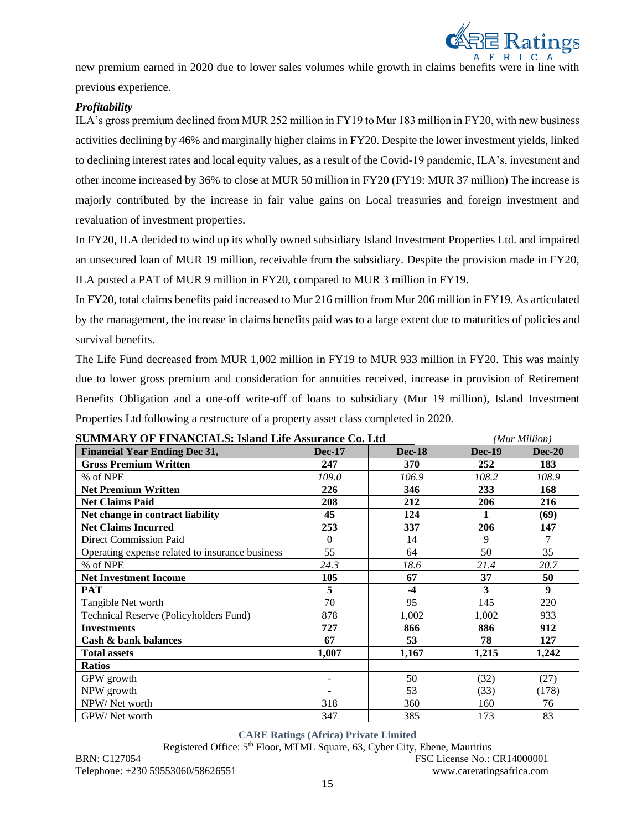

new premium earned in 2020 due to lower sales volumes while growth in claims benefits were in line with previous experience.

### *Profitability*

ILA's gross premium declined from MUR 252 million in FY19 to Mur 183 million in FY20, with new business activities declining by 46% and marginally higher claims in FY20. Despite the lower investment yields, linked to declining interest rates and local equity values, as a result of the Covid-19 pandemic, ILA's, investment and other income increased by 36% to close at MUR 50 million in FY20 (FY19: MUR 37 million) The increase is majorly contributed by the increase in fair value gains on Local treasuries and foreign investment and revaluation of investment properties.

In FY20, ILA decided to wind up its wholly owned subsidiary Island Investment Properties Ltd. and impaired an unsecured loan of MUR 19 million, receivable from the subsidiary. Despite the provision made in FY20, ILA posted a PAT of MUR 9 million in FY20, compared to MUR 3 million in FY19.

In FY20, total claims benefits paid increased to Mur 216 million from Mur 206 million in FY19. As articulated by the management, the increase in claims benefits paid was to a large extent due to maturities of policies and survival benefits.

The Life Fund decreased from MUR 1,002 million in FY19 to MUR 933 million in FY20. This was mainly due to lower gross premium and consideration for annuities received, increase in provision of Retirement Benefits Obligation and a one-off write-off of loans to subsidiary (Mur 19 million), Island Investment Properties Ltd following a restructure of a property asset class completed in 2020.

| SUMMARY OF FINANCIALS: Island Life Assurance Co. Ltd |                   |               |               | (Mur Million)    |
|------------------------------------------------------|-------------------|---------------|---------------|------------------|
| <b>Financial Year Ending Dec 31,</b>                 | <b>Dec-17</b>     | <b>Dec-18</b> | <b>Dec-19</b> | $Dec-20$         |
| <b>Gross Premium Written</b>                         | 247               | 370           | 252           | 183              |
| % of NPE                                             | 109.0             | 106.9         | 108.2         | 108.9            |
| <b>Net Premium Written</b>                           | 226               | 346           | 233           | 168              |
| <b>Net Claims Paid</b>                               | 208               | 212           | 206           | 216              |
| Net change in contract liability                     | 45                | 124           | 1             | (69)             |
| <b>Net Claims Incurred</b>                           | 253               | 337           | 206           | 147              |
| <b>Direct Commission Paid</b>                        | $\Omega$          | 14            | 9             | 7                |
| Operating expense related to insurance business      | 55                | 64            | 50            | 35               |
| % of NPE                                             | 24.3              | 18.6          | 21.4          | 20.7             |
| <b>Net Investment Income</b>                         | 105               | 67            | 37            | 50               |
| <b>PAT</b>                                           | 5                 | $-4$          | 3             | $\boldsymbol{9}$ |
| Tangible Net worth                                   | 70                | 95            | 145           | 220              |
| Technical Reserve (Policyholders Fund)               | 878               | 1,002         | 1,002         | 933              |
| <b>Investments</b>                                   | 727               | 866           | 886           | 912              |
| Cash & bank balances                                 | 67                | 53            | 78            | 127              |
| <b>Total assets</b>                                  | 1,007             | 1,167         | 1,215         | 1,242            |
| <b>Ratios</b>                                        |                   |               |               |                  |
| GPW growth                                           | $\qquad \qquad -$ | 50            | (32)          | (27)             |
| NPW growth                                           |                   | 53            | (33)          | (178)            |
| NPW/Net worth                                        | 318               | 360           | 160           | 76               |
| GPW/Net worth                                        | 347               | 385           | 173           | 83               |

**SUMMARY OF FINANCIALS: Island Life Assurance Co. Ltd** *(Mur Million)*

### **CARE Ratings (Africa) Private Limited**

Registered Office: 5th Floor, MTML Square, 63, Cyber City, Ebene, Mauritius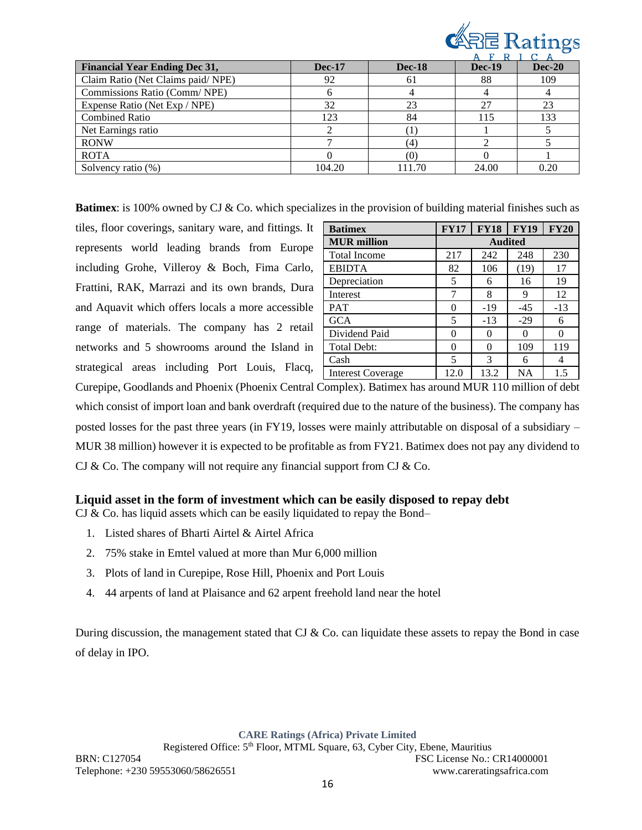

| <b>Financial Year Ending Dec 31,</b> | <b>Dec-17</b> | <b>Dec-18</b> | <b>Dec-19</b> | $Dec-20$ |
|--------------------------------------|---------------|---------------|---------------|----------|
| Claim Ratio (Net Claims paid/NPE)    | 92            | 61            | 88            | 109      |
| Commissions Ratio (Comm/NPE)         |               |               |               |          |
| Expense Ratio (Net Exp / NPE)        | 32            | 23            | 27            | 23       |
| <b>Combined Ratio</b>                | 123           | 84            | 115           | 133      |
| Net Earnings ratio                   |               |               |               |          |
| <b>RONW</b>                          |               | (4)           |               |          |
| <b>ROTA</b>                          |               | (0)           |               |          |
| Solvency ratio $(\%)$                | 104.20        | 111 70        | 24.00         | 0.20     |

**Batimex**: is 100% owned by CJ & Co. which specializes in the provision of building material finishes such as

tiles, floor coverings, sanitary ware, and fittings. It represents world leading brands from Europe including Grohe, Villeroy & Boch, Fima Carlo, Frattini, RAK, Marrazi and its own brands, Dura and Aquavit which offers locals a more accessible range of materials. The company has 2 retail networks and 5 showrooms around the Island in strategical areas including Port Louis, Flacq,

| <b>Batimex</b>           | <b>FY18</b><br><b>FY19</b><br><b>FY20</b><br><b>FY17</b> |                |                   |       |  |
|--------------------------|----------------------------------------------------------|----------------|-------------------|-------|--|
| <b>MUR</b> million       |                                                          | <b>Audited</b> |                   |       |  |
| <b>Total Income</b>      | 217                                                      | 242            | 248               | 230   |  |
| <b>EBIDTA</b>            | 82                                                       | 106            | (19)              | 17    |  |
| Depreciation             | 5                                                        | 6              | 16                | 19    |  |
| Interest                 | 7                                                        | 8              | 9                 | 12    |  |
| <b>PAT</b>               |                                                          | -19            | $-45$             | $-13$ |  |
| <b>GCA</b>               | 5                                                        | $-13$          | $-29$             | 6     |  |
| Dividend Paid            | 0                                                        | 0              | $\mathbf{\Omega}$ |       |  |
| Total Debt:              | 0                                                        | 0              | 109               | 119   |  |
| Cash                     | 5                                                        | 3              | 6                 | 4     |  |
| <b>Interest Coverage</b> | 12.0                                                     | 13.2           | <b>NA</b>         | 1.5   |  |

Curepipe, Goodlands and Phoenix (Phoenix Central Complex). Batimex has around MUR 110 million of debt which consist of import loan and bank overdraft (required due to the nature of the business). The company has posted losses for the past three years (in FY19, losses were mainly attributable on disposal of a subsidiary – MUR 38 million) however it is expected to be profitable as from FY21. Batimex does not pay any dividend to CJ  $\&$  Co. The company will not require any financial support from CJ  $\&$  Co.

# **Liquid asset in the form of investment which can be easily disposed to repay debt**

 $CI & Co.$  has liquid assets which can be easily liquidated to repay the Bond–

- 1. Listed shares of Bharti Airtel & Airtel Africa
- 2. 75% stake in Emtel valued at more than Mur 6,000 million
- 3. Plots of land in Curepipe, Rose Hill, Phoenix and Port Louis
- 4. 44 arpents of land at Plaisance and 62 arpent freehold land near the hotel

During discussion, the management stated that CJ & Co. can liquidate these assets to repay the Bond in case of delay in IPO.

**CARE Ratings (Africa) Private Limited**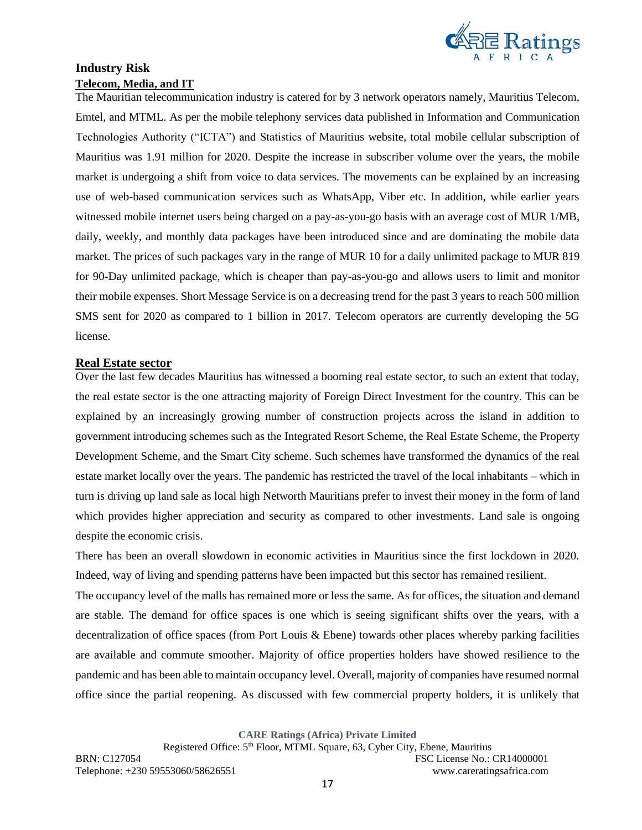

# **Industry Risk Telecom, Media, and IT**

The Mauritian telecommunication industry is catered for by 3 network operators namely, Mauritius Telecom, Emtel, and MTML. As per the mobile telephony services data published in Information and Communication Technologies Authority ("ICTA") and Statistics of Mauritius website, total mobile cellular subscription of Mauritius was 1.91 million for 2020. Despite the increase in subscriber volume over the years, the mobile market is undergoing a shift from voice to data services. The movements can be explained by an increasing use of web-based communication services such as WhatsApp, Viber etc. In addition, while earlier years witnessed mobile internet users being charged on a pay-as-you-go basis with an average cost of MUR 1/MB, daily, weekly, and monthly data packages have been introduced since and are dominating the mobile data market. The prices of such packages vary in the range of MUR 10 for a daily unlimited package to MUR 819 for 90-Day unlimited package, which is cheaper than pay-as-you-go and allows users to limit and monitor their mobile expenses. Short Message Service is on a decreasing trend for the past 3 years to reach 500 million SMS sent for 2020 as compared to 1 billion in 2017. Telecom operators are currently developing the 5G license.

#### **Real Estate sector**

Over the last few decades Mauritius has witnessed a booming real estate sector, to such an extent that today, the real estate sector is the one attracting majority of Foreign Direct Investment for the country. This can be explained by an increasingly growing number of construction projects across the island in addition to government introducing schemes such as the Integrated Resort Scheme, the Real Estate Scheme, the Property Development Scheme, and the Smart City scheme. Such schemes have transformed the dynamics of the real estate market locally over the years. The pandemic has restricted the travel of the local inhabitants – which in turn is driving up land sale as local high Networth Mauritians prefer to invest their money in the form of land which provides higher appreciation and security as compared to other investments. Land sale is ongoing despite the economic crisis.

There has been an overall slowdown in economic activities in Mauritius since the first lockdown in 2020. Indeed, way of living and spending patterns have been impacted but this sector has remained resilient.

The occupancy level of the malls has remained more or less the same. As for offices, the situation and demand are stable. The demand for office spaces is one which is seeing significant shifts over the years, with a decentralization of office spaces (from Port Louis & Ebene) towards other places whereby parking facilities are available and commute smoother. Majority of office properties holders have showed resilience to the pandemic and has been able to maintain occupancy level. Overall, majority of companies have resumed normal office since the partial reopening. As discussed with few commercial property holders, it is unlikely that

**CARE Ratings (Africa) Private Limited**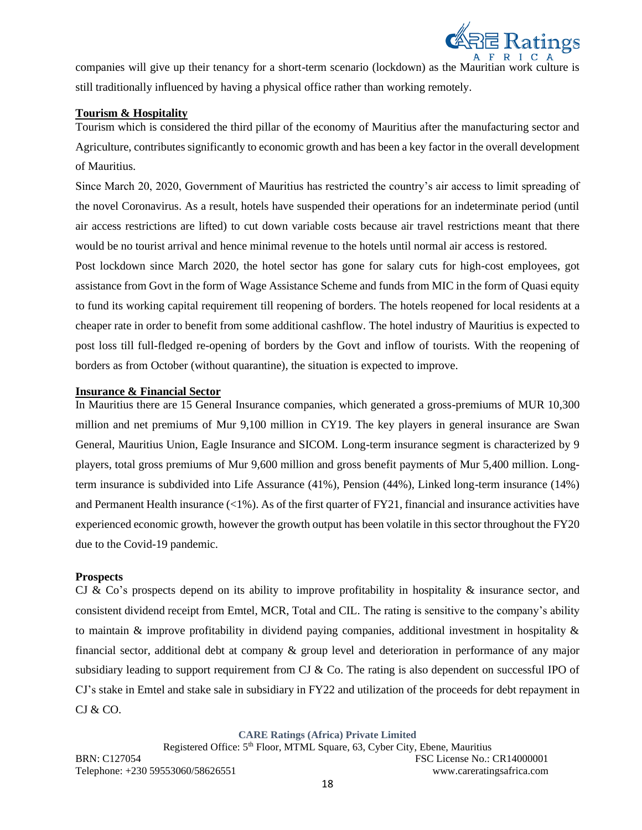

companies will give up their tenancy for a short-term scenario (lockdown) as the Mauritian work culture is still traditionally influenced by having a physical office rather than working remotely.

### **Tourism & Hospitality**

Tourism which is considered the third pillar of the economy of Mauritius after the manufacturing sector and Agriculture, contributes significantly to economic growth and has been a key factor in the overall development of Mauritius.

Since March 20, 2020, Government of Mauritius has restricted the country's air access to limit spreading of the novel Coronavirus. As a result, hotels have suspended their operations for an indeterminate period (until air access restrictions are lifted) to cut down variable costs because air travel restrictions meant that there would be no tourist arrival and hence minimal revenue to the hotels until normal air access is restored.

Post lockdown since March 2020, the hotel sector has gone for salary cuts for high-cost employees, got assistance from Govt in the form of Wage Assistance Scheme and funds from MIC in the form of Quasi equity to fund its working capital requirement till reopening of borders. The hotels reopened for local residents at a cheaper rate in order to benefit from some additional cashflow. The hotel industry of Mauritius is expected to post loss till full-fledged re-opening of borders by the Govt and inflow of tourists. With the reopening of borders as from October (without quarantine), the situation is expected to improve.

### **Insurance & Financial Sector**

In Mauritius there are 15 General Insurance companies, which generated a gross-premiums of MUR 10,300 million and net premiums of Mur 9,100 million in CY19. The key players in general insurance are Swan General, Mauritius Union, Eagle Insurance and SICOM. Long-term insurance segment is characterized by 9 players, total gross premiums of Mur 9,600 million and gross benefit payments of Mur 5,400 million. Longterm insurance is subdivided into Life Assurance (41%), Pension (44%), Linked long-term insurance (14%) and Permanent Health insurance (<1%). As of the first quarter of FY21, financial and insurance activities have experienced economic growth, however the growth output has been volatile in this sector throughout the FY20 due to the Covid-19 pandemic.

#### **Prospects**

CJ & Co's prospects depend on its ability to improve profitability in hospitality & insurance sector, and consistent dividend receipt from Emtel, MCR, Total and CIL. The rating is sensitive to the company's ability to maintain  $\&$  improve profitability in dividend paying companies, additional investment in hospitality  $\&$ financial sector, additional debt at company & group level and deterioration in performance of any major subsidiary leading to support requirement from CJ & Co. The rating is also dependent on successful IPO of CJ's stake in Emtel and stake sale in subsidiary in FY22 and utilization of the proceeds for debt repayment in CJ & CO.

**CARE Ratings (Africa) Private Limited**

Registered Office: 5<sup>th</sup> Floor, MTML Square, 63, Cyber City, Ebene, Mauritius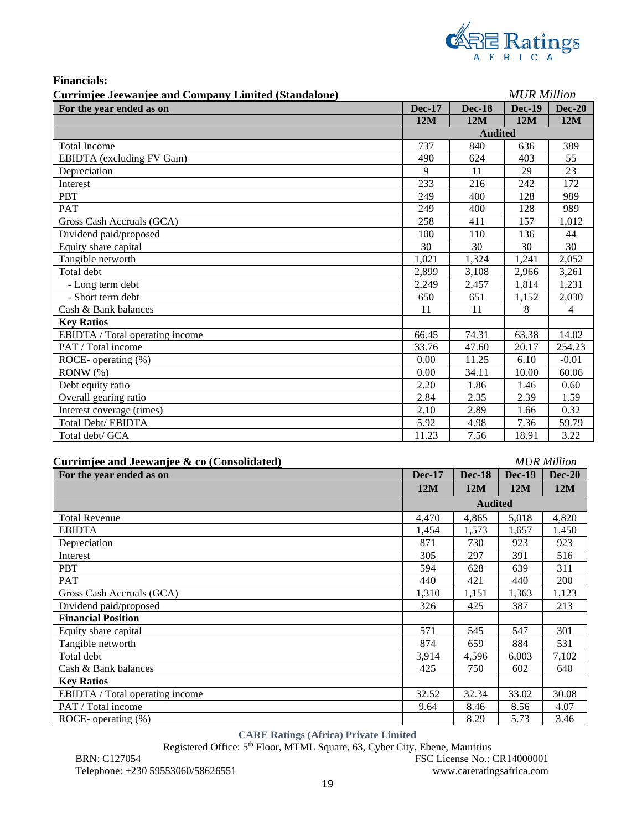

| <b>Financials:</b> |  |
|--------------------|--|
|                    |  |

| Currimjee Jeewanjee and Company Limited (Standalone) |               |                | <b>MUR Million</b> |               |
|------------------------------------------------------|---------------|----------------|--------------------|---------------|
| For the year ended as on                             | <b>Dec-17</b> | <b>Dec-18</b>  | <b>Dec-19</b>      | <b>Dec-20</b> |
|                                                      | 12M           | 12M            | 12M                | 12M           |
|                                                      |               | <b>Audited</b> |                    |               |
| <b>Total Income</b>                                  | 737           | 840            | 636                | 389           |
| <b>EBIDTA</b> (excluding FV Gain)                    | 490           | 624            | 403                | 55            |
| Depreciation                                         | 9             | 11             | 29                 | 23            |
| Interest                                             | 233           | 216            | 242                | 172           |
| PBT                                                  | 249           | 400            | 128                | 989           |
| PAT                                                  | 249           | 400            | 128                | 989           |
| Gross Cash Accruals (GCA)                            | 258           | 411            | 157                | 1,012         |
| Dividend paid/proposed                               | 100           | 110            | 136                | 44            |
| Equity share capital                                 | 30            | 30             | 30                 | 30            |
| Tangible networth                                    | 1,021         | 1,324          | 1,241              | 2,052         |
| Total debt                                           | 2.899         | 3,108          | 2,966              | 3,261         |
| - Long term debt                                     | 2,249         | 2,457          | 1,814              | 1,231         |
| - Short term debt                                    | 650           | 651            | 1,152              | 2,030         |
| Cash & Bank balances                                 | 11            | 11             | 8                  | 4             |
| <b>Key Ratios</b>                                    |               |                |                    |               |
| EBIDTA / Total operating income                      | 66.45         | 74.31          | 63.38              | 14.02         |
| PAT / Total income                                   | 33.76         | 47.60          | 20.17              | 254.23        |
| ROCE- operating (%)                                  | 0.00          | 11.25          | 6.10               | $-0.01$       |
| RONW(%)                                              | 0.00          | 34.11          | 10.00              | 60.06         |
| Debt equity ratio                                    | 2.20          | 1.86           | 1.46               | 0.60          |
| Overall gearing ratio                                | 2.84          | 2.35           | 2.39               | 1.59          |
| Interest coverage (times)                            | 2.10          | 2.89           | 1.66               | 0.32          |
| <b>Total Debt/ EBIDTA</b>                            | 5.92          | 4.98           | 7.36               | 59.79         |
| Total debt/ GCA                                      | 11.23         | 7.56           | 18.91              | 3.22          |

| Currimjee and Jeewanjee & co (Consolidated) | <b>MUR Million</b> |
|---------------------------------------------|--------------------|
|                                             |                    |

| $\text{carr}$ and $\text{ger}$ and $\text{cer}$ and $\text{cer}$ and $\text{cer}$ |               |                |               |               |
|-----------------------------------------------------------------------------------|---------------|----------------|---------------|---------------|
| For the year ended as on                                                          | <b>Dec-17</b> | <b>Dec-18</b>  | <b>Dec-19</b> | <b>Dec-20</b> |
|                                                                                   | 12M           | 12M            | 12M           | 12M           |
|                                                                                   |               | <b>Audited</b> |               |               |
| <b>Total Revenue</b>                                                              | 4,470         | 4,865          | 5,018         | 4,820         |
| <b>EBIDTA</b>                                                                     | 1,454         | 1,573          | 1,657         | 1,450         |
| Depreciation                                                                      | 871           | 730            | 923           | 923           |
| Interest                                                                          | 305           | 297            | 391           | 516           |
| <b>PBT</b>                                                                        | 594           | 628            | 639           | 311           |
| <b>PAT</b>                                                                        | 440           | 421            | 440           | 200           |
| Gross Cash Accruals (GCA)                                                         | 1,310         | 1,151          | 1,363         | 1,123         |
| Dividend paid/proposed                                                            | 326           | 425            | 387           | 213           |
| <b>Financial Position</b>                                                         |               |                |               |               |
| Equity share capital                                                              | 571           | 545            | 547           | 301           |
| Tangible networth                                                                 | 874           | 659            | 884           | 531           |
| Total debt                                                                        | 3,914         | 4,596          | 6,003         | 7,102         |
| Cash & Bank balances                                                              | 425           | 750            | 602           | 640           |
| <b>Key Ratios</b>                                                                 |               |                |               |               |
| EBIDTA / Total operating income                                                   | 32.52         | 32.34          | 33.02         | 30.08         |
| PAT / Total income                                                                | 9.64          | 8.46           | 8.56          | 4.07          |
| ROCE- operating (%)                                                               |               | 8.29           | 5.73          | 3.46          |

# **CARE Ratings (Africa) Private Limited**

Registered Office: 5th Floor, MTML Square, 63, Cyber City, Ebene, Mauritius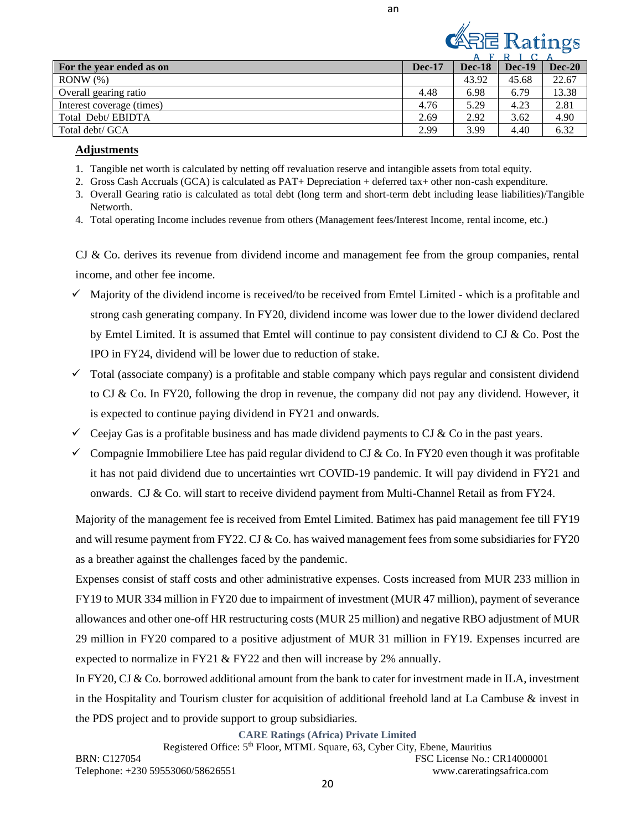an



|                           |               | л.            |          |          |
|---------------------------|---------------|---------------|----------|----------|
| For the year ended as on  | <b>Dec-17</b> | <b>Dec-18</b> | $Dec-19$ | $Dec-20$ |
| $RONW(\%)$                |               | 43.92         | 45.68    | 22.67    |
| Overall gearing ratio     | 4.48          | 6.98          | 6.79     | 13.38    |
| Interest coverage (times) | 4.76          | 5.29          | 4.23     | 2.81     |
| Total Debt/EBIDTA         | 2.69          | 2.92          | 3.62     | 4.90     |
| Total debt/ GCA           | 2.99          | 3.99          | 4.40     | 6.32     |

### **Adjustments**

- 1. Tangible net worth is calculated by netting off revaluation reserve and intangible assets from total equity.
- 2. Gross Cash Accruals (GCA) is calculated as PAT+ Depreciation + deferred tax+ other non-cash expenditure.
- 3. Overall Gearing ratio is calculated as total debt (long term and short-term debt including lease liabilities)/Tangible Networth.
- 4. Total operating Income includes revenue from others (Management fees/Interest Income, rental income, etc.)

CJ & Co. derives its revenue from dividend income and management fee from the group companies, rental income, and other fee income.

- $\checkmark$  Majority of the dividend income is received/to be received from Emtel Limited which is a profitable and strong cash generating company. In FY20, dividend income was lower due to the lower dividend declared by Emtel Limited. It is assumed that Emtel will continue to pay consistent dividend to CJ & Co. Post the IPO in FY24, dividend will be lower due to reduction of stake.
- $\checkmark$  Total (associate company) is a profitable and stable company which pays regular and consistent dividend to CJ & Co. In FY20, following the drop in revenue, the company did not pay any dividend. However, it is expected to continue paying dividend in FY21 and onwards.
- $\checkmark$  Ceejay Gas is a profitable business and has made dividend payments to CJ & Co in the past years.
- $\checkmark$  Compagnie Immobiliere Ltee has paid regular dividend to CJ & Co. In FY20 even though it was profitable it has not paid dividend due to uncertainties wrt COVID-19 pandemic. It will pay dividend in FY21 and onwards. CJ & Co. will start to receive dividend payment from Multi-Channel Retail as from FY24.

Majority of the management fee is received from Emtel Limited. Batimex has paid management fee till FY19 and will resume payment from FY22. CJ & Co. has waived management fees from some subsidiaries for FY20 as a breather against the challenges faced by the pandemic.

Expenses consist of staff costs and other administrative expenses. Costs increased from MUR 233 million in FY19 to MUR 334 million in FY20 due to impairment of investment (MUR 47 million), payment of severance allowances and other one-off HR restructuring costs (MUR 25 million) and negative RBO adjustment of MUR 29 million in FY20 compared to a positive adjustment of MUR 31 million in FY19. Expenses incurred are expected to normalize in FY21  $&$  FY22 and then will increase by 2% annually.

In FY20, CJ & Co. borrowed additional amount from the bank to cater for investment made in ILA, investment in the Hospitality and Tourism cluster for acquisition of additional freehold land at La Cambuse & invest in the PDS project and to provide support to group subsidiaries.

**CARE Ratings (Africa) Private Limited**